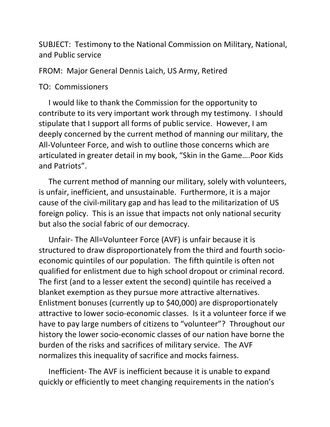SUBJECT: Testimony to the National Commission on Military, National, and Public service

FROM: Major General Dennis Laich, US Army, Retired

## TO: Commissioners

 I would like to thank the Commission for the opportunity to contribute to its very important work through my testimony. I should stipulate that I support all forms of public service. However, I am deeply concerned by the current method of manning our military, the All-Volunteer Force, and wish to outline those concerns which are articulated in greater detail in my book, "Skin in the Game….Poor Kids and Patriots".

 The current method of manning our military, solely with volunteers, is unfair, inefficient, and unsustainable. Furthermore, it is a major cause of the civil-military gap and has lead to the militarization of US foreign policy. This is an issue that impacts not only national security but also the social fabric of our democracy.

 Unfair- The All=Volunteer Force (AVF) is unfair because it is structured to draw disproportionately from the third and fourth socioeconomic quintiles of our population. The fifth quintile is often not qualified for enlistment due to high school dropout or criminal record. The first (and to a lesser extent the second) quintile has received a blanket exemption as they pursue more attractive alternatives. Enlistment bonuses (currently up to \$40,000) are disproportionately attractive to lower socio-economic classes. Is it a volunteer force if we have to pay large numbers of citizens to "volunteer"? Throughout our history the lower socio-economic classes of our nation have borne the burden of the risks and sacrifices of military service. The AVF normalizes this inequality of sacrifice and mocks fairness.

 Inefficient- The AVF is inefficient because it is unable to expand quickly or efficiently to meet changing requirements in the nation's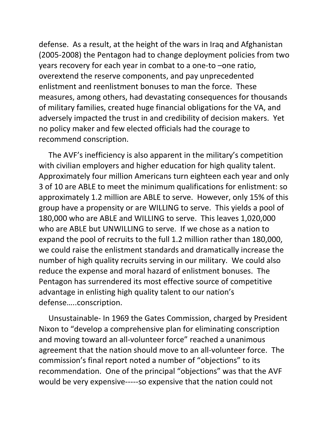defense. As a result, at the height of the wars in Iraq and Afghanistan (2005-2008) the Pentagon had to change deployment policies from two years recovery for each year in combat to a one-to –one ratio, overextend the reserve components, and pay unprecedented enlistment and reenlistment bonuses to man the force. These measures, among others, had devastating consequences for thousands of military families, created huge financial obligations for the VA, and adversely impacted the trust in and credibility of decision makers. Yet no policy maker and few elected officials had the courage to recommend conscription.

 The AVF's inefficiency is also apparent in the military's competition with civilian employers and higher education for high quality talent. Approximately four million Americans turn eighteen each year and only 3 of 10 are ABLE to meet the minimum qualifications for enlistment: so approximately 1.2 million are ABLE to serve. However, only 15% of this group have a propensity or are WILLING to serve. This yields a pool of 180,000 who are ABLE and WILLING to serve. This leaves 1,020,000 who are ABLE but UNWILLING to serve. If we chose as a nation to expand the pool of recruits to the full 1.2 million rather than 180,000, we could raise the enlistment standards and dramatically increase the number of high quality recruits serving in our military. We could also reduce the expense and moral hazard of enlistment bonuses. The Pentagon has surrendered its most effective source of competitive advantage in enlisting high quality talent to our nation's defense…..conscription.

 Unsustainable- In 1969 the Gates Commission, charged by President Nixon to "develop a comprehensive plan for eliminating conscription and moving toward an all-volunteer force" reached a unanimous agreement that the nation should move to an all-volunteer force. The commission's final report noted a number of "objections" to its recommendation. One of the principal "objections" was that the AVF would be very expensive-----so expensive that the nation could not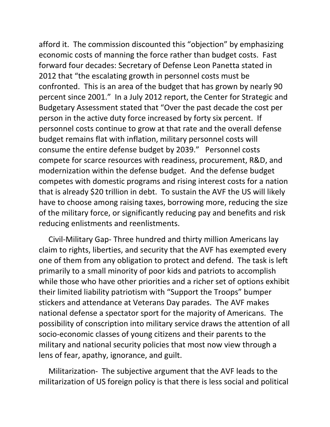afford it. The commission discounted this "objection" by emphasizing economic costs of manning the force rather than budget costs. Fast forward four decades: Secretary of Defense Leon Panetta stated in 2012 that "the escalating growth in personnel costs must be confronted. This is an area of the budget that has grown by nearly 90 percent since 2001." In a July 2012 report, the Center for Strategic and Budgetary Assessment stated that "Over the past decade the cost per person in the active duty force increased by forty six percent. If personnel costs continue to grow at that rate and the overall defense budget remains flat with inflation, military personnel costs will consume the entire defense budget by 2039." Personnel costs compete for scarce resources with readiness, procurement, R&D, and modernization within the defense budget. And the defense budget competes with domestic programs and rising interest costs for a nation that is already \$20 trillion in debt. To sustain the AVF the US will likely have to choose among raising taxes, borrowing more, reducing the size of the military force, or significantly reducing pay and benefits and risk reducing enlistments and reenlistments.

 Civil-Military Gap- Three hundred and thirty million Americans lay claim to rights, liberties, and security that the AVF has exempted every one of them from any obligation to protect and defend. The task is left primarily to a small minority of poor kids and patriots to accomplish while those who have other priorities and a richer set of options exhibit their limited liability patriotism with "Support the Troops" bumper stickers and attendance at Veterans Day parades. The AVF makes national defense a spectator sport for the majority of Americans. The possibility of conscription into military service draws the attention of all socio-economic classes of young citizens and their parents to the military and national security policies that most now view through a lens of fear, apathy, ignorance, and guilt.

 Militarization- The subjective argument that the AVF leads to the militarization of US foreign policy is that there is less social and political